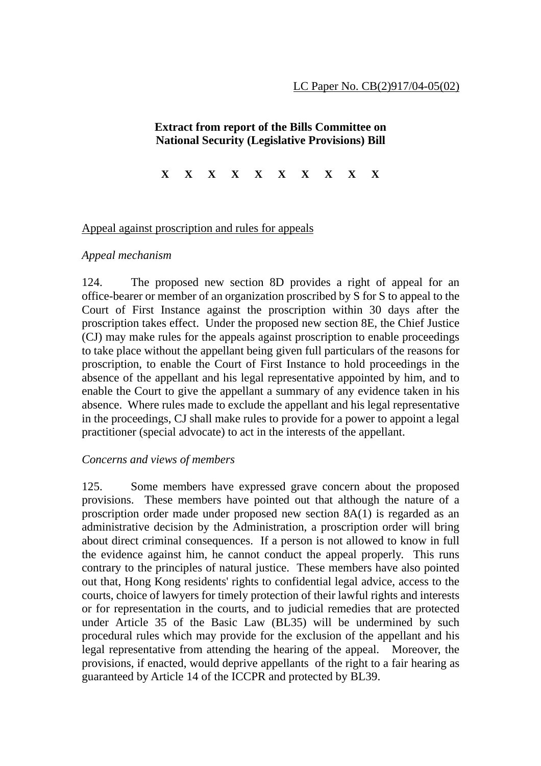# **Extract from report of the Bills Committee on National Security (Legislative Provisions) Bill**

**X X X X X X X X X X**

### Appeal against proscription and rules for appeals

### *Appeal mechanism*

124. The proposed new section 8D provides a right of appeal for an office-bearer or member of an organization proscribed by S for S to appeal to the Court of First Instance against the proscription within 30 days after the proscription takes effect. Under the proposed new section 8E, the Chief Justice (CJ) may make rules for the appeals against proscription to enable proceedings to take place without the appellant being given full particulars of the reasons for proscription, to enable the Court of First Instance to hold proceedings in the absence of the appellant and his legal representative appointed by him, and to enable the Court to give the appellant a summary of any evidence taken in his absence. Where rules made to exclude the appellant and his legal representative in the proceedings, CJ shall make rules to provide for a power to appoint a legal practitioner (special advocate) to act in the interests of the appellant.

#### *Concerns and views of members*

125. Some members have expressed grave concern about the proposed provisions. These members have pointed out that although the nature of a proscription order made under proposed new section 8A(1) is regarded as an administrative decision by the Administration, a proscription order will bring about direct criminal consequences. If a person is not allowed to know in full the evidence against him, he cannot conduct the appeal properly. This runs contrary to the principles of natural justice. These members have also pointed out that, Hong Kong residents' rights to confidential legal advice, access to the courts, choice of lawyers for timely protection of their lawful rights and interests or for representation in the courts, and to judicial remedies that are protected under Article 35 of the Basic Law (BL35) will be undermined by such procedural rules which may provide for the exclusion of the appellant and his legal representative from attending the hearing of the appeal. Moreover, the provisions, if enacted, would deprive appellants of the right to a fair hearing as guaranteed by Article 14 of the ICCPR and protected by BL39.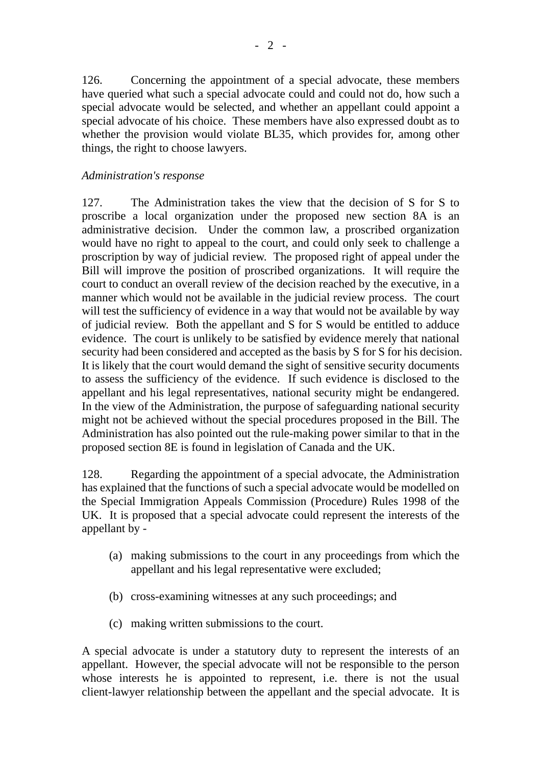126. Concerning the appointment of a special advocate, these members have queried what such a special advocate could and could not do, how such a special advocate would be selected, and whether an appellant could appoint a special advocate of his choice. These members have also expressed doubt as to whether the provision would violate BL35, which provides for, among other things, the right to choose lawyers.

## *Administration's response*

127. The Administration takes the view that the decision of S for S to proscribe a local organization under the proposed new section 8A is an administrative decision. Under the common law, a proscribed organization would have no right to appeal to the court, and could only seek to challenge a proscription by way of judicial review. The proposed right of appeal under the Bill will improve the position of proscribed organizations. It will require the court to conduct an overall review of the decision reached by the executive, in a manner which would not be available in the judicial review process. The court will test the sufficiency of evidence in a way that would not be available by way of judicial review. Both the appellant and S for S would be entitled to adduce evidence. The court is unlikely to be satisfied by evidence merely that national security had been considered and accepted as the basis by S for S for his decision. It is likely that the court would demand the sight of sensitive security documents to assess the sufficiency of the evidence. If such evidence is disclosed to the appellant and his legal representatives, national security might be endangered. In the view of the Administration, the purpose of safeguarding national security might not be achieved without the special procedures proposed in the Bill. The Administration has also pointed out the rule-making power similar to that in the proposed section 8E is found in legislation of Canada and the UK.

128. Regarding the appointment of a special advocate, the Administration has explained that the functions of such a special advocate would be modelled on the Special Immigration Appeals Commission (Procedure) Rules 1998 of the UK. It is proposed that a special advocate could represent the interests of the appellant by -

- (a) making submissions to the court in any proceedings from which the appellant and his legal representative were excluded;
- (b) cross-examining witnesses at any such proceedings; and
- (c) making written submissions to the court.

A special advocate is under a statutory duty to represent the interests of an appellant. However, the special advocate will not be responsible to the person whose interests he is appointed to represent, i.e. there is not the usual client-lawyer relationship between the appellant and the special advocate. It is